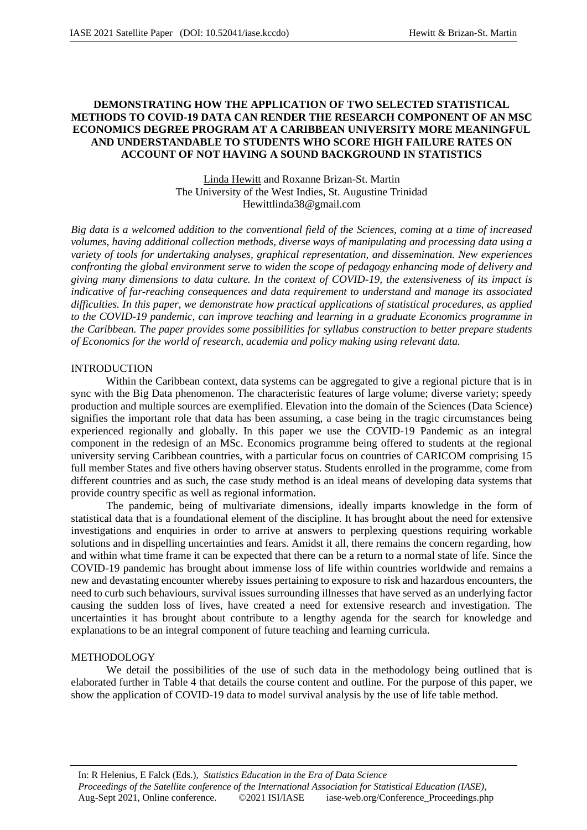### **DEMONSTRATING HOW THE APPLICATION OF TWO SELECTED STATISTICAL METHODS TO COVID-19 DATA CAN RENDER THE RESEARCH COMPONENT OF AN MSC ECONOMICS DEGREE PROGRAM AT A CARIBBEAN UNIVERSITY MORE MEANINGFUL AND UNDERSTANDABLE TO STUDENTS WHO SCORE HIGH FAILURE RATES ON ACCOUNT OF NOT HAVING A SOUND BACKGROUND IN STATISTICS**

Linda Hewitt and Roxanne Brizan-St. Martin The University of the West Indies, St. Augustine Trinidad Hewittlinda38@gmail.com

*Big data is a welcomed addition to the conventional field of the Sciences, coming at a time of increased volumes, having additional collection methods, diverse ways of manipulating and processing data using a variety of tools for undertaking analyses, graphical representation, and dissemination. New experiences confronting the global environment serve to widen the scope of pedagogy enhancing mode of delivery and giving many dimensions to data culture. In the context of COVID-19, the extensiveness of its impact is indicative of far-reaching consequences and data requirement to understand and manage its associated difficulties. In this paper, we demonstrate how practical applications of statistical procedures, as applied to the COVID-19 pandemic, can improve teaching and learning in a graduate Economics programme in the Caribbean. The paper provides some possibilities for syllabus construction to better prepare students of Economics for the world of research, academia and policy making using relevant data.*

#### INTRODUCTION

Within the Caribbean context, data systems can be aggregated to give a regional picture that is in sync with the Big Data phenomenon. The characteristic features of large volume; diverse variety; speedy production and multiple sources are exemplified. Elevation into the domain of the Sciences (Data Science) signifies the important role that data has been assuming, a case being in the tragic circumstances being experienced regionally and globally. In this paper we use the COVID-19 Pandemic as an integral component in the redesign of an MSc. Economics programme being offered to students at the regional university serving Caribbean countries, with a particular focus on countries of CARICOM comprising 15 full member States and five others having observer status. Students enrolled in the programme, come from different countries and as such, the case study method is an ideal means of developing data systems that provide country specific as well as regional information.

The pandemic, being of multivariate dimensions, ideally imparts knowledge in the form of statistical data that is a foundational element of the discipline. It has brought about the need for extensive investigations and enquiries in order to arrive at answers to perplexing questions requiring workable solutions and in dispelling uncertainties and fears. Amidst it all, there remains the concern regarding, how and within what time frame it can be expected that there can be a return to a normal state of life. Since the COVID-19 pandemic has brought about immense loss of life within countries worldwide and remains a new and devastating encounter whereby issues pertaining to exposure to risk and hazardous encounters, the need to curb such behaviours, survival issues surrounding illnesses that have served as an underlying factor causing the sudden loss of lives, have created a need for extensive research and investigation. The uncertainties it has brought about contribute to a lengthy agenda for the search for knowledge and explanations to be an integral component of future teaching and learning curricula.

#### METHODOLOGY

We detail the possibilities of the use of such data in the methodology being outlined that is elaborated further in Table 4 that details the course content and outline. For the purpose of this paper, we show the application of COVID-19 data to model survival analysis by the use of life table method.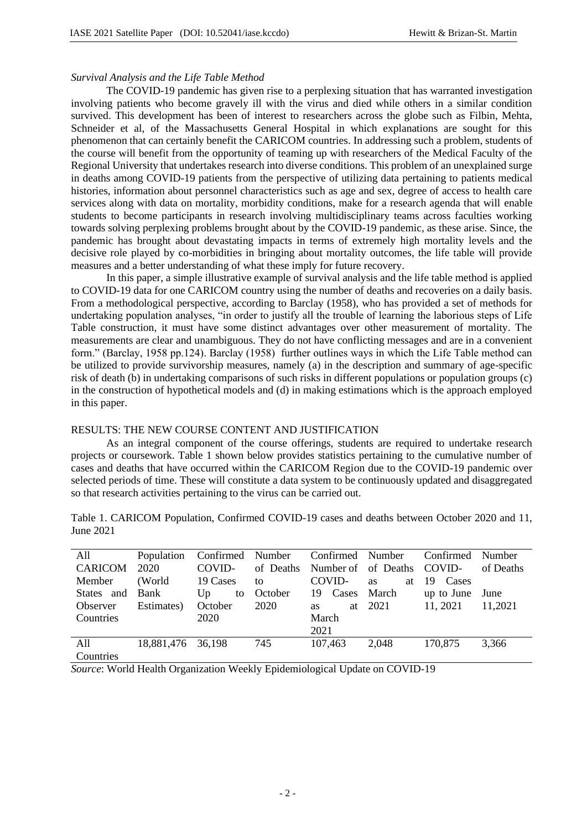#### *Survival Analysis and the Life Table Method*

The COVID-19 pandemic has given rise to a perplexing situation that has warranted investigation involving patients who become gravely ill with the virus and died while others in a similar condition survived. This development has been of interest to researchers across the globe such as Filbin, Mehta, Schneider et al, of the Massachusetts General Hospital in which explanations are sought for this phenomenon that can certainly benefit the CARICOM countries. In addressing such a problem, students of the course will benefit from the opportunity of teaming up with researchers of the Medical Faculty of the Regional University that undertakes research into diverse conditions. This problem of an unexplained surge in deaths among COVID-19 patients from the perspective of utilizing data pertaining to patients medical histories, information about personnel characteristics such as age and sex, degree of access to health care services along with data on mortality, morbidity conditions, make for a research agenda that will enable students to become participants in research involving multidisciplinary teams across faculties working towards solving perplexing problems brought about by the COVID-19 pandemic, as these arise. Since, the pandemic has brought about devastating impacts in terms of extremely high mortality levels and the decisive role played by co-morbidities in bringing about mortality outcomes, the life table will provide measures and a better understanding of what these imply for future recovery.

In this paper, a simple illustrative example of survival analysis and the life table method is applied to COVID-19 data for one CARICOM country using the number of deaths and recoveries on a daily basis. From a methodological perspective, according to Barclay (1958), who has provided a set of methods for undertaking population analyses, "in order to justify all the trouble of learning the laborious steps of Life Table construction, it must have some distinct advantages over other measurement of mortality. The measurements are clear and unambiguous. They do not have conflicting messages and are in a convenient form." (Barclay, 1958 pp.124). Barclay (1958) further outlines ways in which the Life Table method can be utilized to provide survivorship measures, namely (a) in the description and summary of age-specific risk of death (b) in undertaking comparisons of such risks in different populations or population groups (c) in the construction of hypothetical models and (d) in making estimations which is the approach employed in this paper.

### RESULTS: THE NEW COURSE CONTENT AND JUSTIFICATION

As an integral component of the course offerings, students are required to undertake research projects or coursework. Table 1 shown below provides statistics pertaining to the cumulative number of cases and deaths that have occurred within the CARICOM Region due to the COVID-19 pandemic over selected periods of time. These will constitute a data system to be continuously updated and disaggregated so that research activities pertaining to the virus can be carried out.

| All              | Population | Confirmed | Number    | Confirmed Number |                            | Confirmed    | Number    |
|------------------|------------|-----------|-----------|------------------|----------------------------|--------------|-----------|
| <b>CARICOM</b>   | 2020       | COVID-    | of Deaths |                  | Number of of Deaths COVID- |              | of Deaths |
| Member           | (World)    | 19 Cases  | to        | COVID-           | at<br><b>as</b>            | Cases<br>-19 |           |
| States and Bank  |            | Up<br>to  | October   | 19 Cases         | March                      | up to June   | June      |
| Observer         | Estimates) | October   | 2020      | as               | at 2021                    | 11, 2021     | 11,2021   |
| <b>Countries</b> |            | 2020      |           | March            |                            |              |           |
|                  |            |           |           | 2021             |                            |              |           |
| A11              | 18,881,476 | 36,198    | 745       | 107,463          | 2,048                      | 170.875      | 3,366     |
| Countries        |            |           |           |                  |                            |              |           |

Table 1. CARICOM Population, Confirmed COVID-19 cases and deaths between October 2020 and 11, June 2021

*Source*: World Health Organization Weekly Epidemiological Update on COVID-19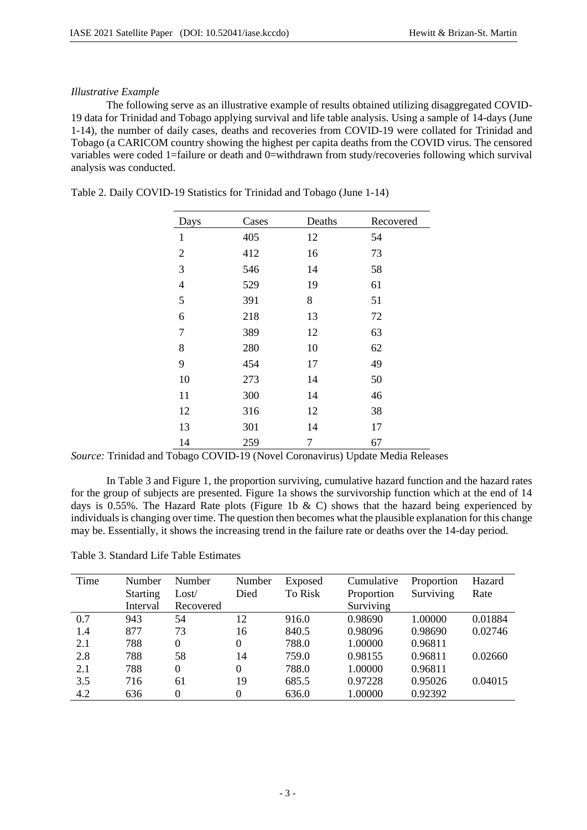## *Illustrative Example*

The following serve as an illustrative example of results obtained utilizing disaggregated COVID-19 data for Trinidad and Tobago applying survival and life table analysis. Using a sample of 14-days (June 1-14), the number of daily cases, deaths and recoveries from COVID-19 were collated for Trinidad and Tobago (a CARICOM country showing the highest per capita deaths from the COVID virus. The censored variables were coded 1=failure or death and 0=withdrawn from study/recoveries following which survival analysis was conducted.

| Days             | Cases | Deaths | Recovered |
|------------------|-------|--------|-----------|
| $\mathbf{1}$     | 405   | 12     | 54        |
| $\overline{c}$   | 412   | 16     | 73        |
| $\mathfrak{Z}$   | 546   | 14     | 58        |
| $\overline{4}$   | 529   | 19     | 61        |
| 5                | 391   | 8      | 51        |
| 6                | 218   | 13     | 72        |
| $\boldsymbol{7}$ | 389   | 12     | 63        |
| $8\,$            | 280   | 10     | 62        |
| 9                | 454   | 17     | 49        |
| 10               | 273   | 14     | 50        |
| 11               | 300   | 14     | 46        |
| 12               | 316   | 12     | 38        |
| 13               | 301   | 14     | 17        |
| 14               | 259   | 7      | 67        |

Table 2. Daily COVID-19 Statistics for Trinidad and Tobago (June 1-14)

*Source:* Trinidad and Tobago COVID-19 (Novel Coronavirus) Update Media Releases

In Table 3 and Figure 1, the proportion surviving, cumulative hazard function and the hazard rates for the group of subjects are presented. Figure 1a shows the survivorship function which at the end of 14 days is 0.55%. The Hazard Rate plots (Figure 1b & C) shows that the hazard being experienced by individuals is changing over time. The question then becomes what the plausible explanation for this change may be. Essentially, it shows the increasing trend in the failure rate or deaths over the 14-day period.

| Table 3. Standard Life Table Estimates |  |
|----------------------------------------|--|
|                                        |  |

| Time | Number          | Number    | Number   | Exposed | Cumulative | Proportion | Hazard  |
|------|-----------------|-----------|----------|---------|------------|------------|---------|
|      | <b>Starting</b> | Loss/     | Died     | To Risk | Proportion | Surviving  | Rate    |
|      | Interval        | Recovered |          |         | Surviving  |            |         |
| 0.7  | 943             | 54        | 12       | 916.0   | 0.98690    | 1.00000    | 0.01884 |
| 1.4  | 877             | 73        | 16       | 840.5   | 0.98096    | 0.98690    | 0.02746 |
| 2.1  | 788             | $\theta$  | $\Omega$ | 788.0   | 1.00000    | 0.96811    |         |
| 2.8  | 788             | 58        | 14       | 759.0   | 0.98155    | 0.96811    | 0.02660 |
| 2.1  | 788             | $\theta$  | $\Omega$ | 788.0   | 1.00000    | 0.96811    |         |
| 3.5  | 716             | 61        | 19       | 685.5   | 0.97228    | 0.95026    | 0.04015 |
| 4.2  | 636             | 0         | 0        | 636.0   | 1.00000    | 0.92392    |         |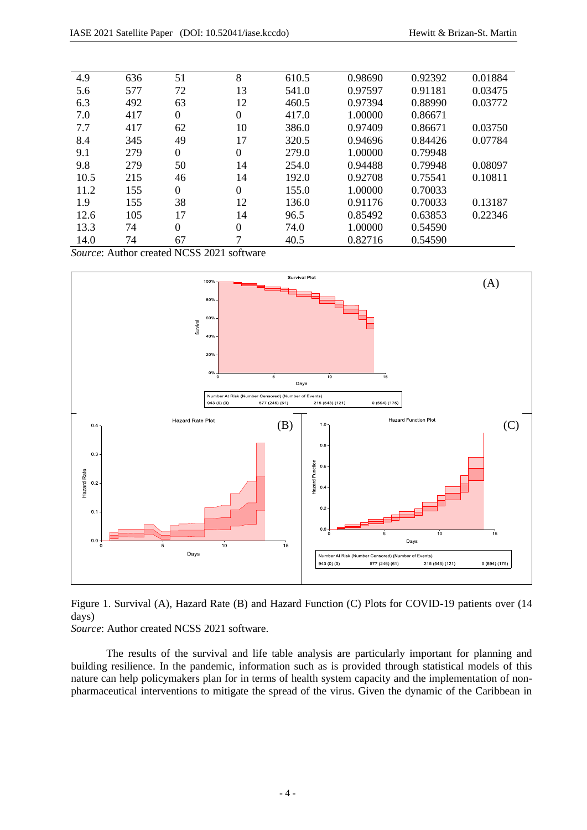| 4.9  | 636 | 51             | 8                | 610.5 | 0.98690 | 0.92392 | 0.01884 |
|------|-----|----------------|------------------|-------|---------|---------|---------|
| 5.6  | 577 | 72             | 13               | 541.0 | 0.97597 | 0.91181 | 0.03475 |
| 6.3  | 492 | 63             | 12               | 460.5 | 0.97394 | 0.88990 | 0.03772 |
| 7.0  | 417 | $\overline{0}$ | $\boldsymbol{0}$ | 417.0 | 1.00000 | 0.86671 |         |
| 7.7  | 417 | 62             | 10               | 386.0 | 0.97409 | 0.86671 | 0.03750 |
| 8.4  | 345 | 49             | 17               | 320.5 | 0.94696 | 0.84426 | 0.07784 |
| 9.1  | 279 | $\overline{0}$ | $\boldsymbol{0}$ | 279.0 | 1.00000 | 0.79948 |         |
| 9.8  | 279 | 50             | 14               | 254.0 | 0.94488 | 0.79948 | 0.08097 |
| 10.5 | 215 | 46             | 14               | 192.0 | 0.92708 | 0.75541 | 0.10811 |
| 11.2 | 155 | $\Omega$       | $\Omega$         | 155.0 | 1.00000 | 0.70033 |         |
| 1.9  | 155 | 38             | 12               | 136.0 | 0.91176 | 0.70033 | 0.13187 |
| 12.6 | 105 | 17             | 14               | 96.5  | 0.85492 | 0.63853 | 0.22346 |
| 13.3 | 74  | $\overline{0}$ | $\theta$         | 74.0  | 1.00000 | 0.54590 |         |
| 14.0 | 74  | 67             | 7                | 40.5  | 0.82716 | 0.54590 |         |
|      |     |                |                  |       |         |         |         |

*Source*: Author created NCSS 2021 software



Figure 1. Survival (A), Hazard Rate (B) and Hazard Function (C) Plots for COVID-19 patients over (14 days)

*Source*: Author created NCSS 2021 software.

The results of the survival and life table analysis are particularly important for planning and building resilience. In the pandemic, information such as is provided through statistical models of this nature can help policymakers plan for in terms of health system capacity and the implementation of nonpharmaceutical interventions to mitigate the spread of the virus. Given the dynamic of the Caribbean in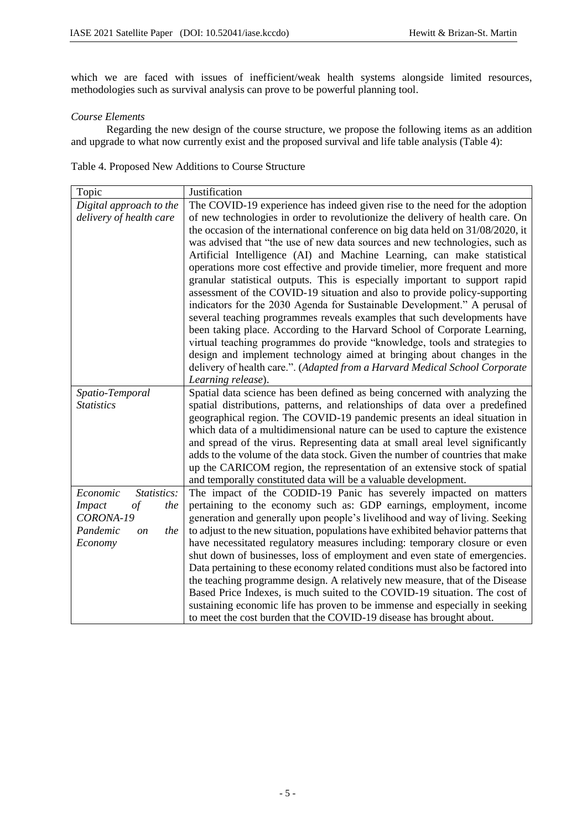which we are faced with issues of inefficient/weak health systems alongside limited resources, methodologies such as survival analysis can prove to be powerful planning tool.

### *Course Elements*

Regarding the new design of the course structure, we propose the following items as an addition and upgrade to what now currently exist and the proposed survival and life table analysis (Table 4):

Table 4. Proposed New Additions to Course Structure

| Topic                             | Justification                                                                     |
|-----------------------------------|-----------------------------------------------------------------------------------|
| Digital approach to the           | The COVID-19 experience has indeed given rise to the need for the adoption        |
| delivery of health care           | of new technologies in order to revolutionize the delivery of health care. On     |
|                                   | the occasion of the international conference on big data held on 31/08/2020, it   |
|                                   | was advised that "the use of new data sources and new technologies, such as       |
|                                   | Artificial Intelligence (AI) and Machine Learning, can make statistical           |
|                                   | operations more cost effective and provide timelier, more frequent and more       |
|                                   | granular statistical outputs. This is especially important to support rapid       |
|                                   | assessment of the COVID-19 situation and also to provide policy-supporting        |
|                                   | indicators for the 2030 Agenda for Sustainable Development." A perusal of         |
|                                   | several teaching programmes reveals examples that such developments have          |
|                                   | been taking place. According to the Harvard School of Corporate Learning,         |
|                                   | virtual teaching programmes do provide "knowledge, tools and strategies to        |
|                                   | design and implement technology aimed at bringing about changes in the            |
|                                   | delivery of health care.". (Adapted from a Harvard Medical School Corporate       |
|                                   | Learning release).                                                                |
| Spatio-Temporal                   | Spatial data science has been defined as being concerned with analyzing the       |
| <i>Statistics</i>                 | spatial distributions, patterns, and relationships of data over a predefined      |
|                                   | geographical region. The COVID-19 pandemic presents an ideal situation in         |
|                                   | which data of a multidimensional nature can be used to capture the existence      |
|                                   | and spread of the virus. Representing data at small areal level significantly     |
|                                   | adds to the volume of the data stock. Given the number of countries that make     |
|                                   | up the CARICOM region, the representation of an extensive stock of spatial        |
|                                   | and temporally constituted data will be a valuable development.                   |
| Economic<br>Statistics:           | The impact of the CODID-19 Panic has severely impacted on matters                 |
| <b>Impact</b><br>$\it{of}$<br>the | pertaining to the economy such as: GDP earnings, employment, income               |
| CORONA-19                         | generation and generally upon people's livelihood and way of living. Seeking      |
| Pandemic<br>the<br>on             | to adjust to the new situation, populations have exhibited behavior patterns that |
| Economy                           | have necessitated regulatory measures including: temporary closure or even        |
|                                   | shut down of businesses, loss of employment and even state of emergencies.        |
|                                   | Data pertaining to these economy related conditions must also be factored into    |
|                                   | the teaching programme design. A relatively new measure, that of the Disease      |
|                                   | Based Price Indexes, is much suited to the COVID-19 situation. The cost of        |
|                                   | sustaining economic life has proven to be immense and especially in seeking       |
|                                   | to meet the cost burden that the COVID-19 disease has brought about.              |